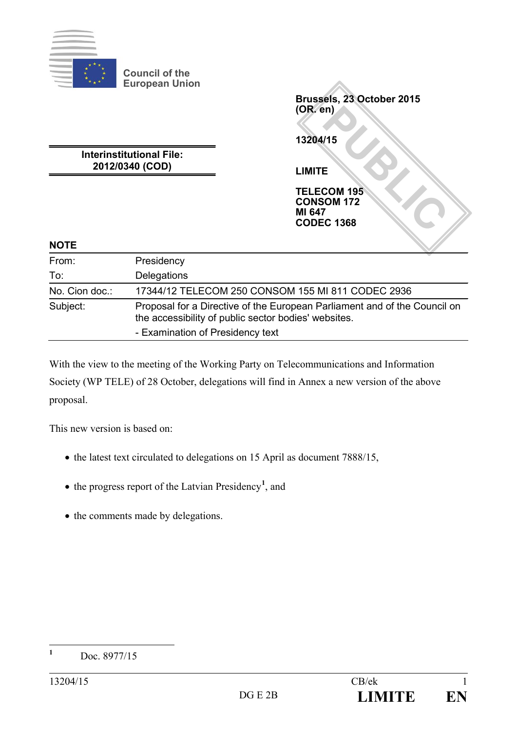

**Council of the European Union**

PM<br> **PUBLIC**<br>
E<br>
COM 195<br>
COM 172<br>
TUBE<br>
COM 172<br>
TUBE<br>
TUBE **Brussels, 23 October 2015 (OR. en) 13204/15 LIMITE**

**Interinstitutional File: 2012/0340 (COD)**

> **TELECOM 195 CONSOM 172 MI 647 CODEC 1368**

#### **NOTE**

| From:          | Presidency                                                                                                                        |
|----------------|-----------------------------------------------------------------------------------------------------------------------------------|
| To:            | Delegations                                                                                                                       |
| No. Cion doc.: | 17344/12 TELECOM 250 CONSOM 155 MI 811 CODEC 2936                                                                                 |
| Subject:       | Proposal for a Directive of the European Parliament and of the Council on<br>the accessibility of public sector bodies' websites. |
|                | - Examination of Presidency text                                                                                                  |

With the view to the meeting of the Working Party on Telecommunications and Information Society (WP TELE) of 28 October, delegations will find in Annex a new version of the above proposal.

This new version is based on:

- the latest text circulated to delegations on 15 April as document 7888/15,
- the progress report of the Latvian Presidency**[1](#page-0-0)** , and
- the comments made by delegations.

<span id="page-0-0"></span>**<sup>1</sup>** Doc. 8977/15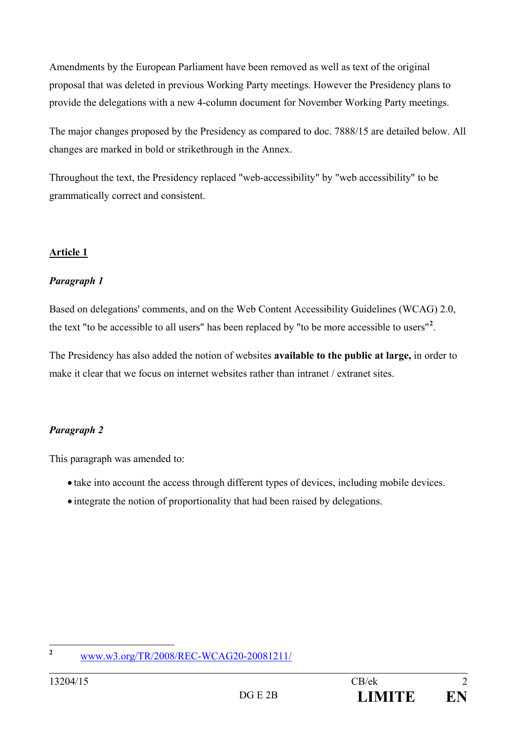Amendments by the European Parliament have been removed as well as text of the original proposal that was deleted in previous Working Party meetings. However the Presidency plans to provide the delegations with a new 4-column document for November Working Party meetings.

The major changes proposed by the Presidency as compared to doc. 7888/15 are detailed below. All changes are marked in bold or strikethrough in the Annex.

Throughout the text, the Presidency replaced "web-accessibility" by "web accessibility" to be grammatically correct and consistent.

#### **Article 1**

#### *Paragraph 1*

Based on delegations' comments, and on the Web Content Accessibility Guidelines (WCAG) 2.0, the text "to be accessible to all users" has been replaced by "to be more accessible to users"**[2](#page-1-0)** .

The Presidency has also added the notion of websites **available to the public at large,** in order to make it clear that we focus on internet websites rather than intranet / extranet sites.

## *Paragraph 2*

This paragraph was amended to:

- take into account the access through different types of devices, including mobile devices.
- integrate the notion of proportionality that had been raised by delegations.

<span id="page-1-0"></span>**<sup>2</sup>** [www.w3.org/TR/2008/REC-WCAG20-20081211/](http://www.w3.org/TR/2008/REC-WCAG20-20081211/)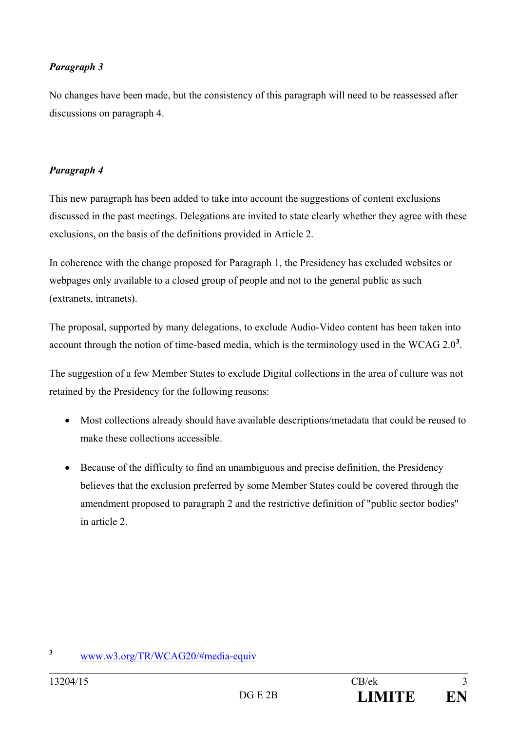## *Paragraph 3*

No changes have been made, but the consistency of this paragraph will need to be reassessed after discussions on paragraph 4.

## *Paragraph 4*

This new paragraph has been added to take into account the suggestions of content exclusions discussed in the past meetings. Delegations are invited to state clearly whether they agree with these exclusions, on the basis of the definitions provided in Article 2.

In coherence with the change proposed for Paragraph 1, the Presidency has excluded websites or webpages only available to a closed group of people and not to the general public as such (extranets, intranets).

The proposal, supported by many delegations, to exclude Audio-Video content has been taken into account through the notion of time-based media, which is the terminology used in the WCAG 2.0**[3](#page-2-0)** .

The suggestion of a few Member States to exclude Digital collections in the area of culture was not retained by the Presidency for the following reasons:

- Most collections already should have available descriptions/metadata that could be reused to make these collections accessible.
- Because of the difficulty to find an unambiguous and precise definition, the Presidency believes that the exclusion preferred by some Member States could be covered through the amendment proposed to paragraph 2 and the restrictive definition of "public sector bodies" in article 2.

<span id="page-2-0"></span>**<sup>3</sup>** [www.w3.org/TR/WCAG20/#media-equiv](http://www.w3.org/TR/WCAG20/%23media-equiv)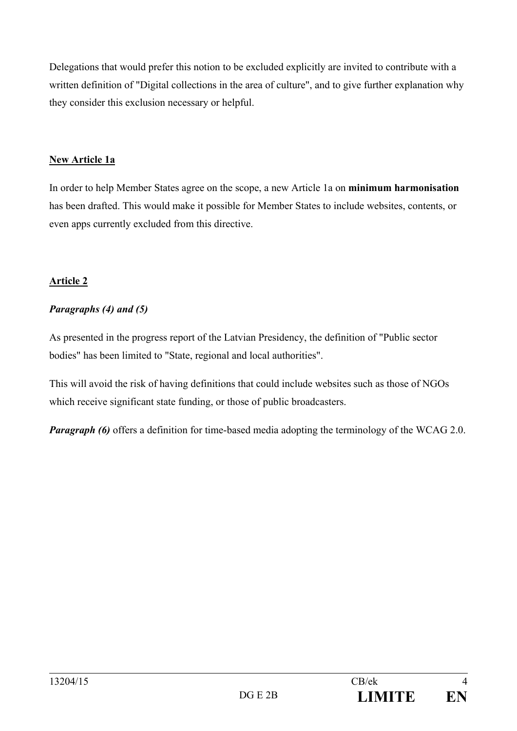Delegations that would prefer this notion to be excluded explicitly are invited to contribute with a written definition of "Digital collections in the area of culture", and to give further explanation why they consider this exclusion necessary or helpful.

## **New Article 1a**

In order to help Member States agree on the scope, a new Article 1a on **minimum harmonisation** has been drafted. This would make it possible for Member States to include websites, contents, or even apps currently excluded from this directive.

# **Article 2**

# *Paragraphs (4) and (5)*

As presented in the progress report of the Latvian Presidency, the definition of "Public sector bodies" has been limited to "State, regional and local authorities".

This will avoid the risk of having definitions that could include websites such as those of NGOs which receive significant state funding, or those of public broadcasters.

*Paragraph* (6) offers a definition for time-based media adopting the terminology of the WCAG 2.0.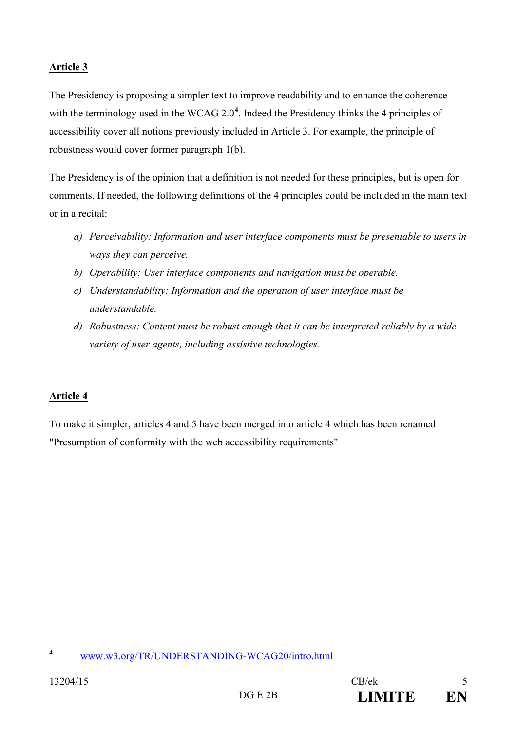The Presidency is proposing a simpler text to improve readability and to enhance the coherence with the terminology used in the WCAG 2.0<sup>[4](#page-4-0)</sup>. Indeed the Presidency thinks the 4 principles of accessibility cover all notions previously included in Article 3. For example, the principle of robustness would cover former paragraph 1(b).

The Presidency is of the opinion that a definition is not needed for these principles, but is open for comments. If needed, the following definitions of the 4 principles could be included in the main text or in a recital:

- *a) Perceivability: Information and user interface components must be presentable to users in ways they can perceive.*
- *b) Operability: User interface components and navigation must be operable.*
- *c) Understandability: Information and the operation of user interface must be understandable.*
- *d) Robustness: Content must be robust enough that it can be interpreted reliably by a wide variety of user agents, including assistive technologies.*

# **Article 4**

To make it simpler, articles 4 and 5 have been merged into article 4 which has been renamed "Presumption of conformity with the web accessibility requirements"

<span id="page-4-0"></span>**<sup>4</sup>** [www.w3.org/TR/UNDERSTANDING-WCAG20/intro.html](http://www.w3.org/TR/UNDERSTANDING-WCAG20/intro.html)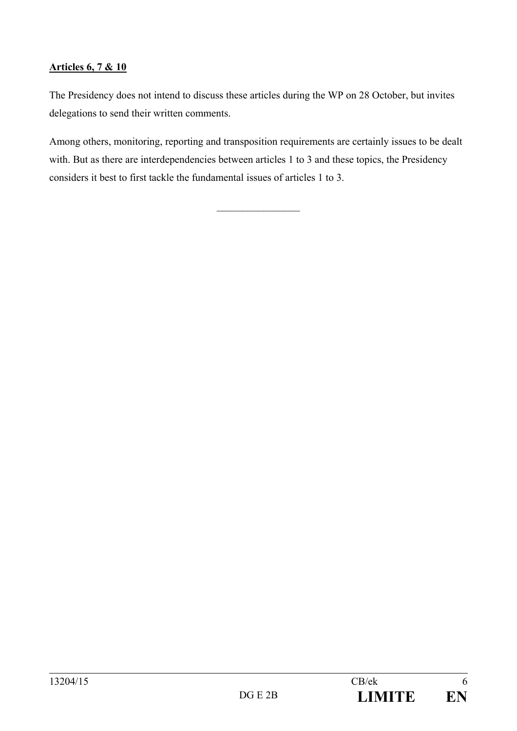## **Articles 6, 7 & 10**

The Presidency does not intend to discuss these articles during the WP on 28 October, but invites delegations to send their written comments.

Among others, monitoring, reporting and transposition requirements are certainly issues to be dealt with. But as there are interdependencies between articles 1 to 3 and these topics, the Presidency considers it best to first tackle the fundamental issues of articles 1 to 3.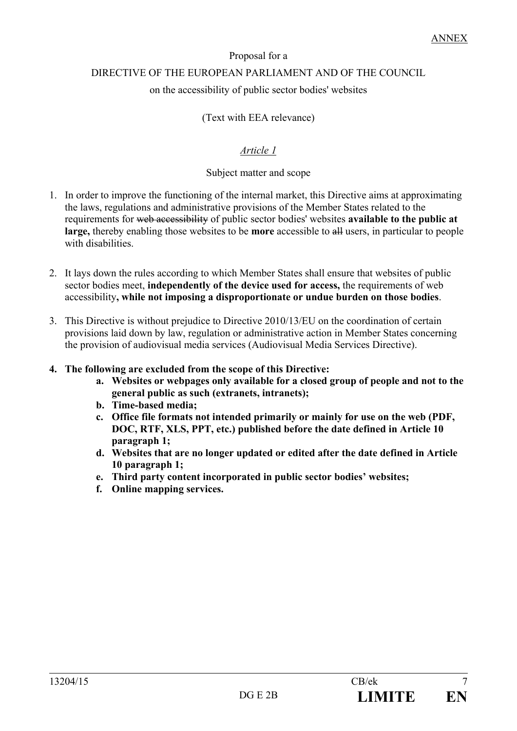# Proposal for a DIRECTIVE OF THE EUROPEAN PARLIAMENT AND OF THE COUNCIL

## on the accessibility of public sector bodies' websites

# (Text with EEA relevance)

# *Article 1*

## Subject matter and scope

- 1. In order to improve the functioning of the internal market, this Directive aims at approximating the laws, regulations and administrative provisions of the Member States related to the requirements for web accessibility of public sector bodies' websites **available to the public at large,** thereby enabling those websites to be **more** accessible to all users, in particular to people with disabilities.
- 2. It lays down the rules according to which Member States shall ensure that websites of public sector bodies meet, **independently of the device used for access,** the requirements of web accessibility**, while not imposing a disproportionate or undue burden on those bodies**.
- 3. This Directive is without prejudice to Directive 2010/13/EU on the coordination of certain provisions laid down by law, regulation or administrative action in Member States concerning the provision of audiovisual media services (Audiovisual Media Services Directive).
- **4. The following are excluded from the scope of this Directive:**
	- **a. Websites or webpages only available for a closed group of people and not to the general public as such (extranets, intranets);**
	- **b. Time-based media;**
	- **c. Office file formats not intended primarily or mainly for use on the web (PDF, DOC, RTF, XLS, PPT, etc.) published before the date defined in Article 10 paragraph 1;**
	- **d. Websites that are no longer updated or edited after the date defined in Article 10 paragraph 1;**
	- **e. Third party content incorporated in public sector bodies' websites;**
	- **f. Online mapping services.**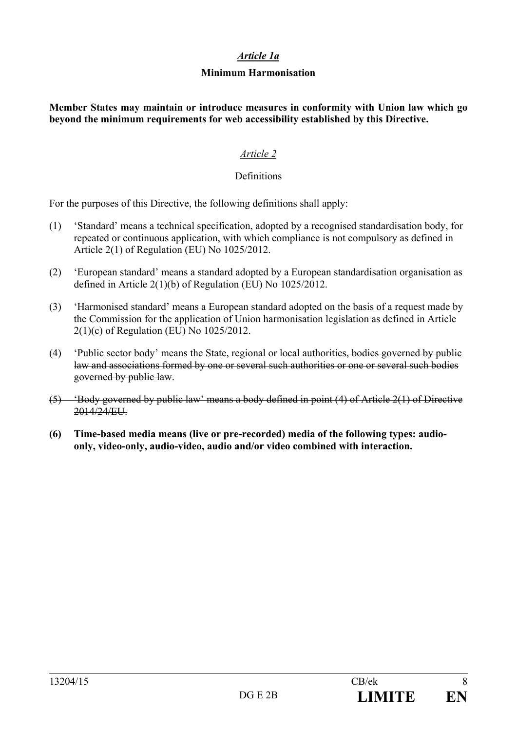#### *Article 1a*

#### **Minimum Harmonisation**

**Member States may maintain or introduce measures in conformity with Union law which go beyond the minimum requirements for web accessibility established by this Directive.**

## *Article 2*

#### Definitions

For the purposes of this Directive, the following definitions shall apply:

- (1) 'Standard' means a technical specification, adopted by a recognised standardisation body, for repeated or continuous application, with which compliance is not compulsory as defined in Article 2(1) of Regulation (EU) No 1025/2012.
- (2) 'European standard' means a standard adopted by a European standardisation organisation as defined in Article 2(1)(b) of Regulation (EU) No 1025/2012.
- (3) 'Harmonised standard' means a European standard adopted on the basis of a request made by the Commission for the application of Union harmonisation legislation as defined in Article 2(1)(c) of Regulation (EU) No 1025/2012.
- (4) 'Public sector body' means the State, regional or local authorities, bodies governed by public law and associations formed by one or several such authorities or one or several such bodies governed by public law.
- (5) 'Body governed by public law' means a body defined in point (4) of Article 2(1) of Directive 2014/24/EU.
- **(6) Time-based media means (live or pre-recorded) media of the following types: audioonly, video-only, audio-video, audio and/or video combined with interaction.**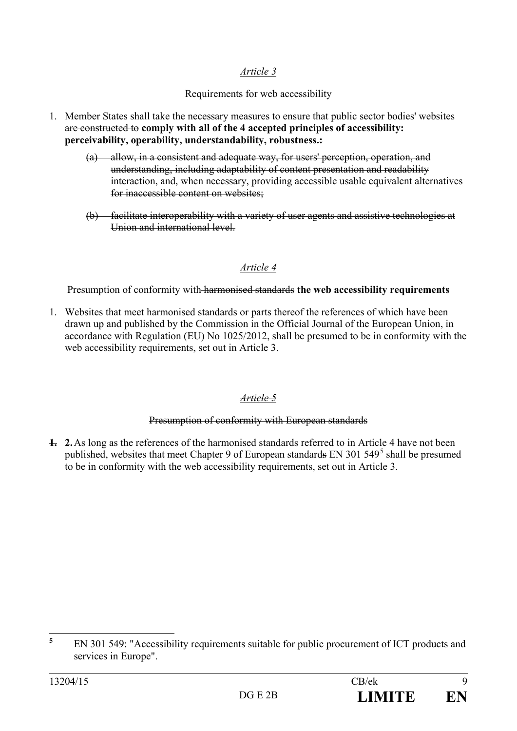Requirements for web accessibility

- 1. Member States shall take the necessary measures to ensure that public sector bodies' websites are constructed to **comply with all of the 4 accepted principles of accessibility: perceivability, operability, understandability, robustness.:**
	- (a) allow, in a consistent and adequate way, for users' perception, operation, and understanding, including adaptability of content presentation and readability interaction, and, when necessary, providing accessible usable equivalent alternatives for inaccessible content on websites;
	- (b) facilitate interoperability with a variety of user agents and assistive technologies at Union and international level.

## *Article 4*

Presumption of conformity with harmonised standards **the web accessibility requirements**

1. Websites that meet harmonised standards or parts thereof the references of which have been drawn up and published by the Commission in the Official Journal of the European Union, in accordance with Regulation (EU) No 1025/2012, shall be presumed to be in conformity with the web accessibility requirements, set out in Article 3.

## *Article 5*

#### Presumption of conformity with European standards

**1. 2.**As long as the references of the harmonised standards referred to in Article 4 have not been published, websites that meet Chapter 9 of European standards EN 301 [5](#page-8-0)49<sup>5</sup> shall be presumed to be in conformity with the web accessibility requirements, set out in Article 3.

<span id="page-8-0"></span>**<sup>5</sup>** EN 301 549: "Accessibility requirements suitable for public procurement of ICT products and services in Europe".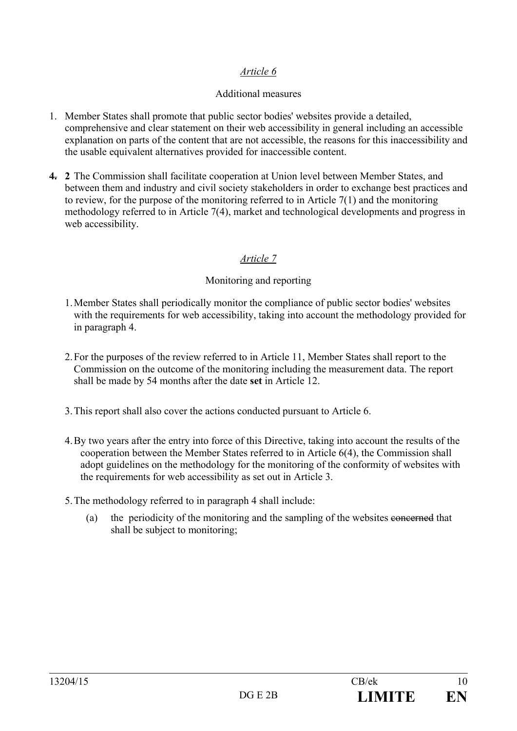## Additional measures

- 1. Member States shall promote that public sector bodies' websites provide a detailed, comprehensive and clear statement on their web accessibility in general including an accessible explanation on parts of the content that are not accessible, the reasons for this inaccessibility and the usable equivalent alternatives provided for inaccessible content.
- **4. 2** The Commission shall facilitate cooperation at Union level between Member States, and between them and industry and civil society stakeholders in order to exchange best practices and to review, for the purpose of the monitoring referred to in Article 7(1) and the monitoring methodology referred to in Article 7(4), market and technological developments and progress in web accessibility.

## *Article 7*

#### Monitoring and reporting

- 1.Member States shall periodically monitor the compliance of public sector bodies' websites with the requirements for web accessibility, taking into account the methodology provided for in paragraph 4.
- 2.For the purposes of the review referred to in Article 11, Member States shall report to the Commission on the outcome of the monitoring including the measurement data. The report shall be made by 54 months after the date **set** in Article 12.
- 3.This report shall also cover the actions conducted pursuant to Article 6.
- 4.By two years after the entry into force of this Directive, taking into account the results of the cooperation between the Member States referred to in Article 6(4), the Commission shall adopt guidelines on the methodology for the monitoring of the conformity of websites with the requirements for web accessibility as set out in Article 3.
- 5.The methodology referred to in paragraph 4 shall include:
	- (a) the periodicity of the monitoring and the sampling of the websites concerned that shall be subject to monitoring;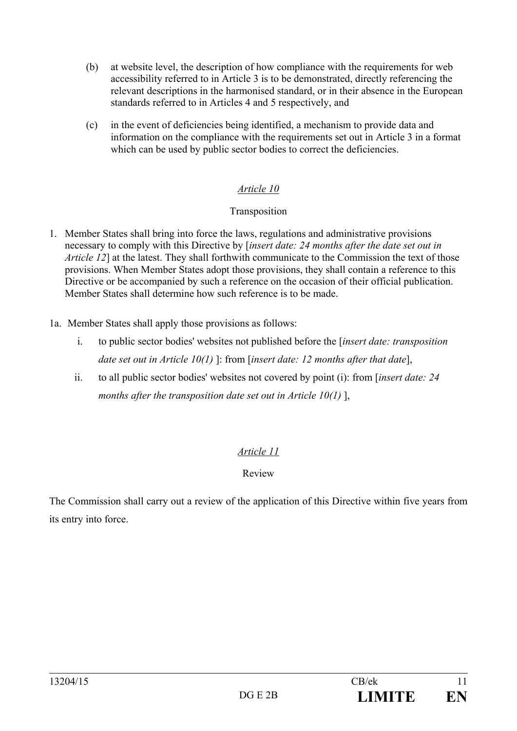- (b) at website level, the description of how compliance with the requirements for web accessibility referred to in Article 3 is to be demonstrated, directly referencing the relevant descriptions in the harmonised standard, or in their absence in the European standards referred to in Articles 4 and 5 respectively, and
- (c) in the event of deficiencies being identified, a mechanism to provide data and information on the compliance with the requirements set out in Article 3 in a format which can be used by public sector bodies to correct the deficiencies.

#### Transposition

- 1. Member States shall bring into force the laws, regulations and administrative provisions necessary to comply with this Directive by [*insert date: 24 months after the date set out in Article 12*] at the latest. They shall forthwith communicate to the Commission the text of those provisions. When Member States adopt those provisions, they shall contain a reference to this Directive or be accompanied by such a reference on the occasion of their official publication. Member States shall determine how such reference is to be made.
- 1a. Member States shall apply those provisions as follows:
	- i. to public sector bodies' websites not published before the [*insert date: transposition date set out in Article 10(1)* ]: from [*insert date: 12 months after that date*],
	- ii. to all public sector bodies' websites not covered by point (i): from [*insert date: 24 months after the transposition date set out in Article 10(1)* ],

## *Article 11*

## Review

The Commission shall carry out a review of the application of this Directive within five years from its entry into force.